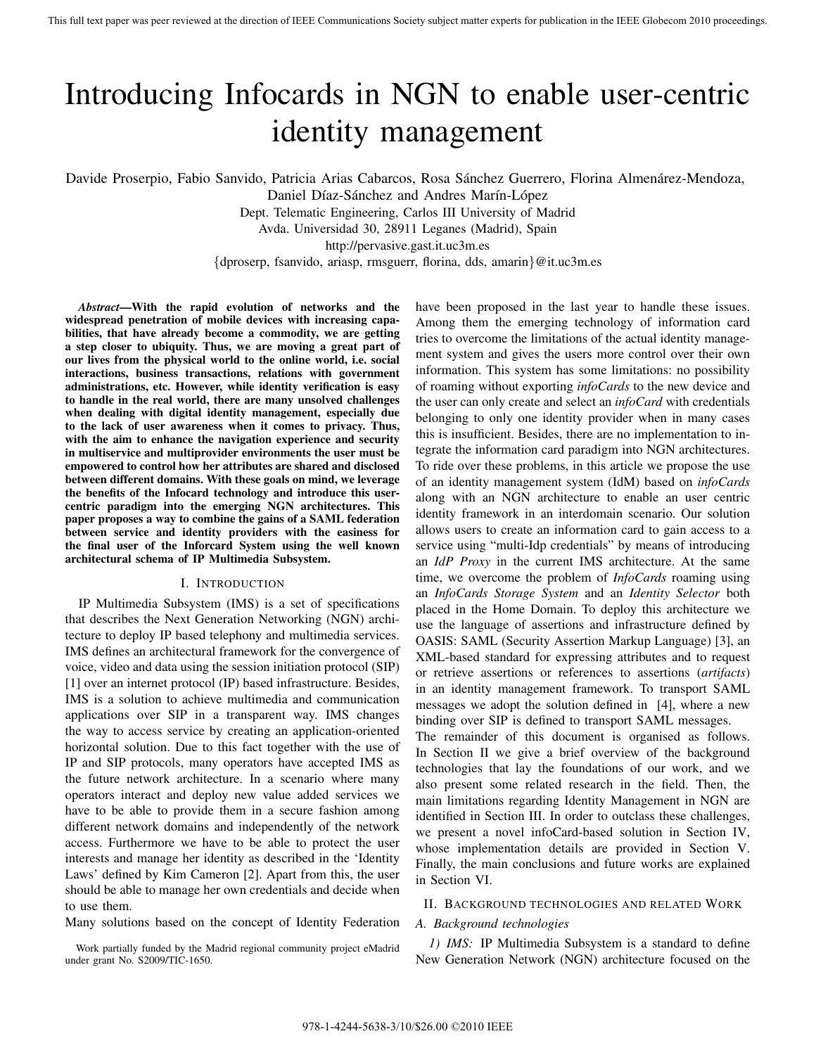# Introducing Infocards in NGN to enable user-centric identity management

Davide Proserpio, Fabio Sanvido, Patricia Arias Cabarcos, Rosa Sánchez Guerrero, Florina Almenárez-Mendoza, Daniel Díaz-Sánchez and Andres Marín-López

> Dept. Telematic Engineering, Carlos III University of Madrid Avda. Universidad 30, 28911 Leganes (Madrid), Spain http://pervasive.gast.it.uc3m.es *{*dproserp, fsanvido, ariasp, rmsguerr, florina, dds, amarin*}*@it.uc3m.es

*Abstract***—With the rapid evolution of networks and the widespread penetration of mobile devices with increasing capabilities, that have already become a commodity, we are getting a step closer to ubiquity. Thus, we are moving a great part of our lives from the physical world to the online world, i.e. social interactions, business transactions, relations with government administrations, etc. However, while identity verification is easy to handle in the real world, there are many unsolved challenges when dealing with digital identity management, especially due to the lack of user awareness when it comes to privacy. Thus, with the aim to enhance the navigation experience and security in multiservice and multiprovider environments the user must be empowered to control how her attributes are shared and disclosed between different domains. With these goals on mind, we leverage the benefits of the Infocard technology and introduce this usercentric paradigm into the emerging NGN architectures. This paper proposes a way to combine the gains of a SAML federation between service and identity providers with the easiness for the final user of the Inforcard System using the well known architectural schema of IP Multimedia Subsystem.**

## I. INTRODUCTION

IP Multimedia Subsystem (IMS) is a set of specifications that describes the Next Generation Networking (NGN) architecture to deploy IP based telephony and multimedia services. IMS defines an architectural framework for the convergence of voice, video and data using the session initiation protocol (SIP) [1] over an internet protocol (IP) based infrastructure. Besides, IMS is a solution to achieve multimedia and communication applications over SIP in a transparent way. IMS changes the way to access service by creating an application-oriented horizontal solution. Due to this fact together with the use of IP and SIP protocols, many operators have accepted IMS as the future network architecture. In a scenario where many operators interact and deploy new value added services we have to be able to provide them in a secure fashion among different network domains and independently of the network access. Furthermore we have to be able to protect the user interests and manage her identity as described in the 'Identity Laws' defined by Kim Cameron [2]. Apart from this, the user should be able to manage her own credentials and decide when to use them.

Many solutions based on the concept of Identity Federation

Work partially funded by the Madrid regional community project eMadrid under grant No. S2009/TIC-1650.

have been proposed in the last year to handle these issues. Among them the emerging technology of information card tries to overcome the limitations of the actual identity management system and gives the users more control over their own information. This system has some limitations: no possibility of roaming without exporting *infoCards* to the new device and the user can only create and select an *infoCard* with credentials belonging to only one identity provider when in many cases this is insufficient. Besides, there are no implementation to integrate the information card paradigm into NGN architectures. To ride over these problems, in this article we propose the use of an identity management system (IdM) based on *infoCards* along with an NGN architecture to enable an user centric identity framework in an interdomain scenario. Our solution allows users to create an information card to gain access to a service using "multi-Idp credentials" by means of introducing an *IdP Proxy* in the current IMS architecture. At the same time, we overcome the problem of *InfoCards* roaming using an *InfoCards Storage System* and an *Identity Selector* both placed in the Home Domain. To deploy this architecture we use the language of assertions and infrastructure defined by OASIS: SAML (Security Assertion Markup Language) [3], an XML-based standard for expressing attributes and to request or retrieve assertions or references to assertions (*artifacts*) in an identity management framework. To transport SAML messages we adopt the solution defined in [4], where a new binding over SIP is defined to transport SAML messages.

The remainder of this document is organised as follows. In Section II we give a brief overview of the background technologies that lay the foundations of our work, and we also present some related research in the field. Then, the main limitations regarding Identity Management in NGN are identified in Section III. In order to outclass these challenges, we present a novel infoCard-based solution in Section IV, whose implementation details are provided in Section V. Finally, the main conclusions and future works are explained in Section VI.

# II. BACKGROUND TECHNOLOGIES AND RELATED WORK

#### *A. Background technologies*

*1) IMS:* IP Multimedia Subsystem is a standard to define New Generation Network (NGN) architecture focused on the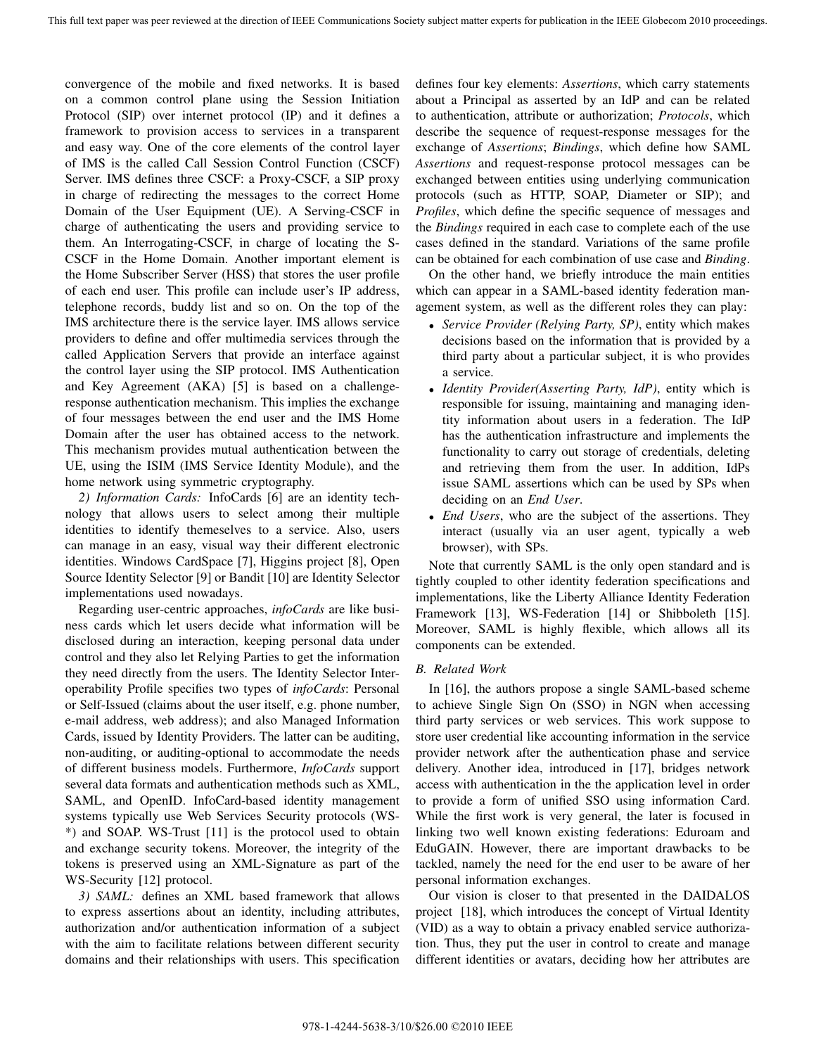convergence of the mobile and fixed networks. It is based on a common control plane using the Session Initiation Protocol (SIP) over internet protocol (IP) and it defines a framework to provision access to services in a transparent and easy way. One of the core elements of the control layer of IMS is the called Call Session Control Function (CSCF) Server. IMS defines three CSCF: a Proxy-CSCF, a SIP proxy in charge of redirecting the messages to the correct Home Domain of the User Equipment (UE). A Serving-CSCF in charge of authenticating the users and providing service to them. An Interrogating-CSCF, in charge of locating the S-CSCF in the Home Domain. Another important element is the Home Subscriber Server (HSS) that stores the user profile of each end user. This profile can include user's IP address, telephone records, buddy list and so on. On the top of the IMS architecture there is the service layer. IMS allows service providers to define and offer multimedia services through the called Application Servers that provide an interface against the control layer using the SIP protocol. IMS Authentication and Key Agreement (AKA) [5] is based on a challengeresponse authentication mechanism. This implies the exchange of four messages between the end user and the IMS Home Domain after the user has obtained access to the network. This mechanism provides mutual authentication between the UE, using the ISIM (IMS Service Identity Module), and the home network using symmetric cryptography.

*2) Information Cards:* InfoCards [6] are an identity technology that allows users to select among their multiple identities to identify themeselves to a service. Also, users can manage in an easy, visual way their different electronic identities. Windows CardSpace [7], Higgins project [8], Open Source Identity Selector [9] or Bandit [10] are Identity Selector implementations used nowadays.

Regarding user-centric approaches, *infoCards* are like business cards which let users decide what information will be disclosed during an interaction, keeping personal data under control and they also let Relying Parties to get the information they need directly from the users. The Identity Selector Interoperability Profile specifies two types of *infoCards*: Personal or Self-Issued (claims about the user itself, e.g. phone number, e-mail address, web address); and also Managed Information Cards, issued by Identity Providers. The latter can be auditing, non-auditing, or auditing-optional to accommodate the needs of different business models. Furthermore, *InfoCards* support several data formats and authentication methods such as XML, SAML, and OpenID. InfoCard-based identity management systems typically use Web Services Security protocols (WS- \*) and SOAP. WS-Trust [11] is the protocol used to obtain and exchange security tokens. Moreover, the integrity of the tokens is preserved using an XML-Signature as part of the WS-Security [12] protocol.

*3) SAML:* defines an XML based framework that allows to express assertions about an identity, including attributes, authorization and/or authentication information of a subject with the aim to facilitate relations between different security domains and their relationships with users. This specification defines four key elements: *Assertions*, which carry statements about a Principal as asserted by an IdP and can be related to authentication, attribute or authorization; *Protocols*, which describe the sequence of request-response messages for the exchange of *Assertions*; *Bindings*, which define how SAML *Assertions* and request-response protocol messages can be exchanged between entities using underlying communication protocols (such as HTTP, SOAP, Diameter or SIP); and *Profiles*, which define the specific sequence of messages and the *Bindings* required in each case to complete each of the use cases defined in the standard. Variations of the same profile can be obtained for each combination of use case and *Binding*.

On the other hand, we briefly introduce the main entities which can appear in a SAML-based identity federation management system, as well as the different roles they can play:

- *• Service Provider (Relying Party, SP)*, entity which makes decisions based on the information that is provided by a third party about a particular subject, it is who provides a service.
- *• Identity Provider(Asserting Party, IdP)*, entity which is responsible for issuing, maintaining and managing identity information about users in a federation. The IdP has the authentication infrastructure and implements the functionality to carry out storage of credentials, deleting and retrieving them from the user. In addition, IdPs issue SAML assertions which can be used by SPs when deciding on an *End User*.
- *• End Users*, who are the subject of the assertions. They interact (usually via an user agent, typically a web browser), with SPs.

Note that currently SAML is the only open standard and is tightly coupled to other identity federation specifications and implementations, like the Liberty Alliance Identity Federation Framework [13], WS-Federation [14] or Shibboleth [15]. Moreover, SAML is highly flexible, which allows all its components can be extended.

## *B. Related Work*

In [16], the authors propose a single SAML-based scheme to achieve Single Sign On (SSO) in NGN when accessing third party services or web services. This work suppose to store user credential like accounting information in the service provider network after the authentication phase and service delivery. Another idea, introduced in [17], bridges network access with authentication in the the application level in order to provide a form of unified SSO using information Card. While the first work is very general, the later is focused in linking two well known existing federations: Eduroam and EduGAIN. However, there are important drawbacks to be tackled, namely the need for the end user to be aware of her personal information exchanges.

Our vision is closer to that presented in the DAIDALOS project [18], which introduces the concept of Virtual Identity (VID) as a way to obtain a privacy enabled service authorization. Thus, they put the user in control to create and manage different identities or avatars, deciding how her attributes are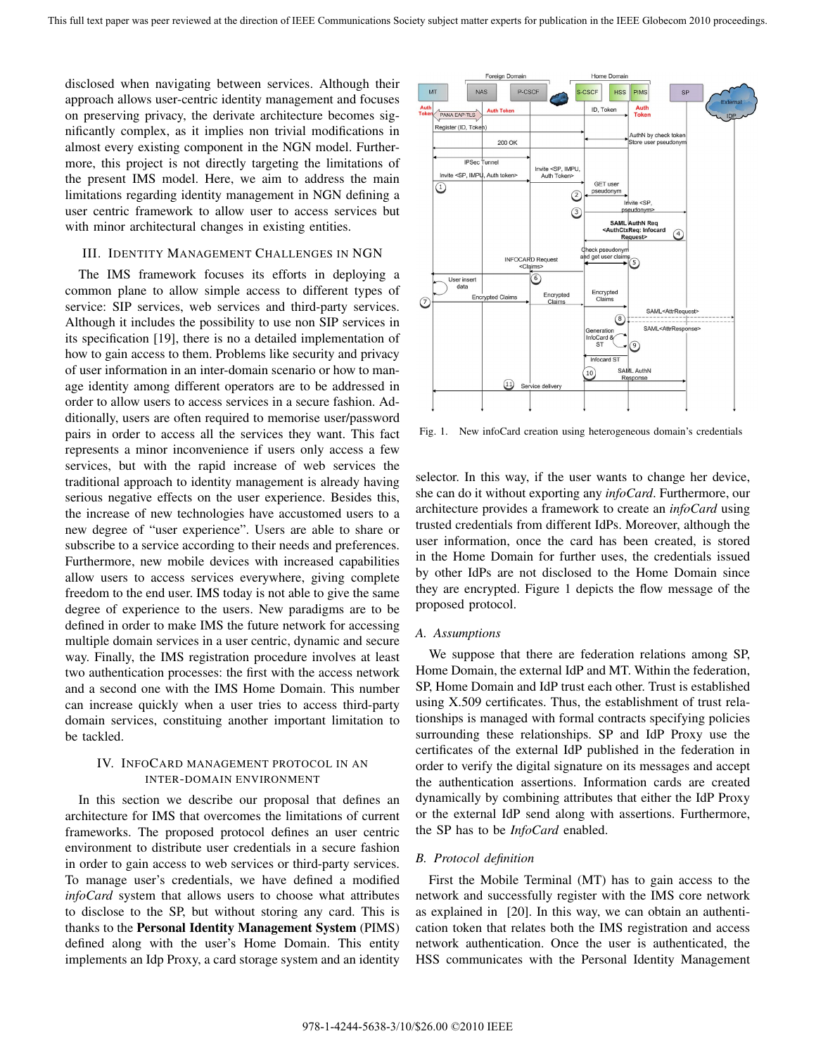disclosed when navigating between services. Although their approach allows user-centric identity management and focuses on preserving privacy, the derivate architecture becomes significantly complex, as it implies non trivial modifications in almost every existing component in the NGN model. Furthermore, this project is not directly targeting the limitations of the present IMS model. Here, we aim to address the main limitations regarding identity management in NGN defining a user centric framework to allow user to access services but with minor architectural changes in existing entities.

#### III. IDENTITY MANAGEMENT CHALLENGES IN NGN

The IMS framework focuses its efforts in deploying a common plane to allow simple access to different types of service: SIP services, web services and third-party services. Although it includes the possibility to use non SIP services in its specification [19], there is no a detailed implementation of how to gain access to them. Problems like security and privacy of user information in an inter-domain scenario or how to manage identity among different operators are to be addressed in order to allow users to access services in a secure fashion. Additionally, users are often required to memorise user/password pairs in order to access all the services they want. This fact represents a minor inconvenience if users only access a few services, but with the rapid increase of web services the traditional approach to identity management is already having serious negative effects on the user experience. Besides this, the increase of new technologies have accustomed users to a new degree of "user experience". Users are able to share or subscribe to a service according to their needs and preferences. Furthermore, new mobile devices with increased capabilities allow users to access services everywhere, giving complete freedom to the end user. IMS today is not able to give the same degree of experience to the users. New paradigms are to be defined in order to make IMS the future network for accessing multiple domain services in a user centric, dynamic and secure way. Finally, the IMS registration procedure involves at least two authentication processes: the first with the access network and a second one with the IMS Home Domain. This number can increase quickly when a user tries to access third-party domain services, constituing another important limitation to be tackled.

# IV. INFOCARD MANAGEMENT PROTOCOL IN AN INTER-DOMAIN ENVIRONMENT

In this section we describe our proposal that defines an architecture for IMS that overcomes the limitations of current frameworks. The proposed protocol defines an user centric environment to distribute user credentials in a secure fashion in order to gain access to web services or third-party services. To manage user's credentials, we have defined a modified *infoCard* system that allows users to choose what attributes to disclose to the SP, but without storing any card. This is thanks to the **Personal Identity Management System** (PIMS) defined along with the user's Home Domain. This entity implements an Idp Proxy, a card storage system and an identity



Fig. 1. New infoCard creation using heterogeneous domain's credentials

selector. In this way, if the user wants to change her device, she can do it without exporting any *infoCard*. Furthermore, our architecture provides a framework to create an *infoCard* using trusted credentials from different IdPs. Moreover, although the user information, once the card has been created, is stored in the Home Domain for further uses, the credentials issued by other IdPs are not disclosed to the Home Domain since they are encrypted. Figure 1 depicts the flow message of the proposed protocol.

### *A. Assumptions*

We suppose that there are federation relations among SP, Home Domain, the external IdP and MT. Within the federation, SP, Home Domain and IdP trust each other. Trust is established using X.509 certificates. Thus, the establishment of trust relationships is managed with formal contracts specifying policies surrounding these relationships. SP and IdP Proxy use the certificates of the external IdP published in the federation in order to verify the digital signature on its messages and accept the authentication assertions. Information cards are created dynamically by combining attributes that either the IdP Proxy or the external IdP send along with assertions. Furthermore, the SP has to be *InfoCard* enabled.

# *B. Protocol definition*

First the Mobile Terminal (MT) has to gain access to the network and successfully register with the IMS core network as explained in [20]. In this way, we can obtain an authentication token that relates both the IMS registration and access network authentication. Once the user is authenticated, the HSS communicates with the Personal Identity Management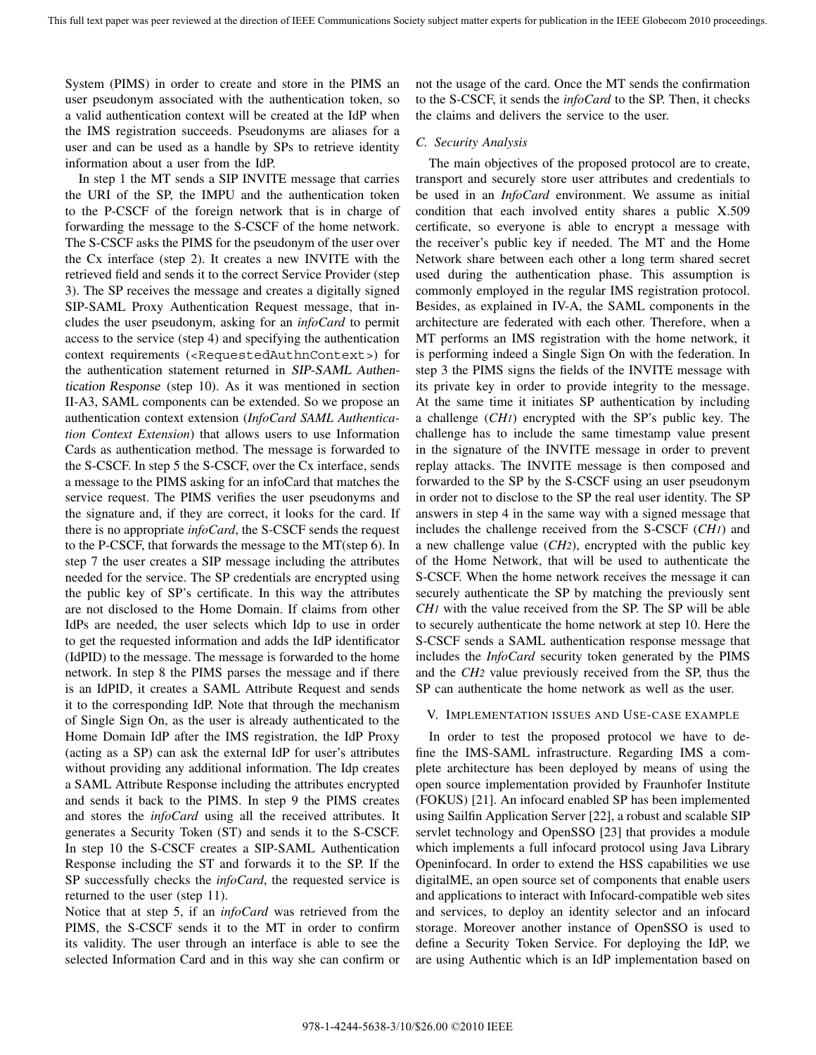System (PIMS) in order to create and store in the PIMS an user pseudonym associated with the authentication token, so a valid authentication context will be created at the IdP when the IMS registration succeeds. Pseudonyms are aliases for a user and can be used as a handle by SPs to retrieve identity information about a user from the IdP.

In step 1 the MT sends a SIP INVITE message that carries the URI of the SP, the IMPU and the authentication token to the P-CSCF of the foreign network that is in charge of forwarding the message to the S-CSCF of the home network. The S-CSCF asks the PIMS for the pseudonym of the user over the Cx interface (step 2). It creates a new INVITE with the retrieved field and sends it to the correct Service Provider (step 3). The SP receives the message and creates a digitally signed SIP-SAML Proxy Authentication Request message, that includes the user pseudonym, asking for an *infoCard* to permit access to the service (step 4) and specifying the authentication context requirements (<RequestedAuthnContext>) for the authentication statement returned in SIP-SAML Authentication Response (step 10). As it was mentioned in section II-A3, SAML components can be extended. So we propose an authentication context extension (*InfoCard SAML Authentication Context Extension*) that allows users to use Information Cards as authentication method. The message is forwarded to the S-CSCF. In step 5 the S-CSCF, over the Cx interface, sends a message to the PIMS asking for an infoCard that matches the service request. The PIMS verifies the user pseudonyms and the signature and, if they are correct, it looks for the card. If there is no appropriate *infoCard*, the S-CSCF sends the request to the P-CSCF, that forwards the message to the MT(step 6). In step 7 the user creates a SIP message including the attributes needed for the service. The SP credentials are encrypted using the public key of SP's certificate. In this way the attributes are not disclosed to the Home Domain. If claims from other IdPs are needed, the user selects which Idp to use in order to get the requested information and adds the IdP identificator (IdPID) to the message. The message is forwarded to the home network. In step 8 the PIMS parses the message and if there is an IdPID, it creates a SAML Attribute Request and sends it to the corresponding IdP. Note that through the mechanism of Single Sign On, as the user is already authenticated to the Home Domain IdP after the IMS registration, the IdP Proxy (acting as a SP) can ask the external IdP for user's attributes without providing any additional information. The Idp creates a SAML Attribute Response including the attributes encrypted and sends it back to the PIMS. In step 9 the PIMS creates and stores the *infoCard* using all the received attributes. It generates a Security Token (ST) and sends it to the S-CSCF. In step 10 the S-CSCF creates a SIP-SAML Authentication Response including the ST and forwards it to the SP. If the SP successfully checks the *infoCard*, the requested service is returned to the user (step 11).

Notice that at step 5, if an *infoCard* was retrieved from the PIMS, the S-CSCF sends it to the MT in order to confirm its validity. The user through an interface is able to see the selected Information Card and in this way she can confirm or not the usage of the card. Once the MT sends the confirmation to the S-CSCF, it sends the *infoCard* to the SP. Then, it checks the claims and delivers the service to the user.

#### *C. Security Analysis*

The main objectives of the proposed protocol are to create, transport and securely store user attributes and credentials to be used in an *InfoCard* environment. We assume as initial condition that each involved entity shares a public X.509 certificate, so everyone is able to encrypt a message with the receiver's public key if needed. The MT and the Home Network share between each other a long term shared secret used during the authentication phase. This assumption is commonly employed in the regular IMS registration protocol. Besides, as explained in IV-A, the SAML components in the architecture are federated with each other. Therefore, when a MT performs an IMS registration with the home network, it is performing indeed a Single Sign On with the federation. In step 3 the PIMS signs the fields of the INVITE message with its private key in order to provide integrity to the message. At the same time it initiates SP authentication by including a challenge (*CH1*) encrypted with the SP's public key. The challenge has to include the same timestamp value present in the signature of the INVITE message in order to prevent replay attacks. The INVITE message is then composed and forwarded to the SP by the S-CSCF using an user pseudonym in order not to disclose to the SP the real user identity. The SP answers in step 4 in the same way with a signed message that includes the challenge received from the S-CSCF (*CH1*) and a new challenge value (*CH2*), encrypted with the public key of the Home Network, that will be used to authenticate the S-CSCF. When the home network receives the message it can securely authenticate the SP by matching the previously sent *CH1* with the value received from the SP. The SP will be able to securely authenticate the home network at step 10. Here the S-CSCF sends a SAML authentication response message that includes the *InfoCard* security token generated by the PIMS and the *CH2* value previously received from the SP, thus the SP can authenticate the home network as well as the user.

### V. IMPLEMENTATION ISSUES AND USE-CASE EXAMPLE

In order to test the proposed protocol we have to define the IMS-SAML infrastructure. Regarding IMS a complete architecture has been deployed by means of using the open source implementation provided by Fraunhofer Institute (FOKUS) [21]. An infocard enabled SP has been implemented using Sailfin Application Server [22], a robust and scalable SIP servlet technology and OpenSSO [23] that provides a module which implements a full infocard protocol using Java Library Openinfocard. In order to extend the HSS capabilities we use digitalME, an open source set of components that enable users and applications to interact with Infocard-compatible web sites and services, to deploy an identity selector and an infocard storage. Moreover another instance of OpenSSO is used to define a Security Token Service. For deploying the IdP, we are using Authentic which is an IdP implementation based on